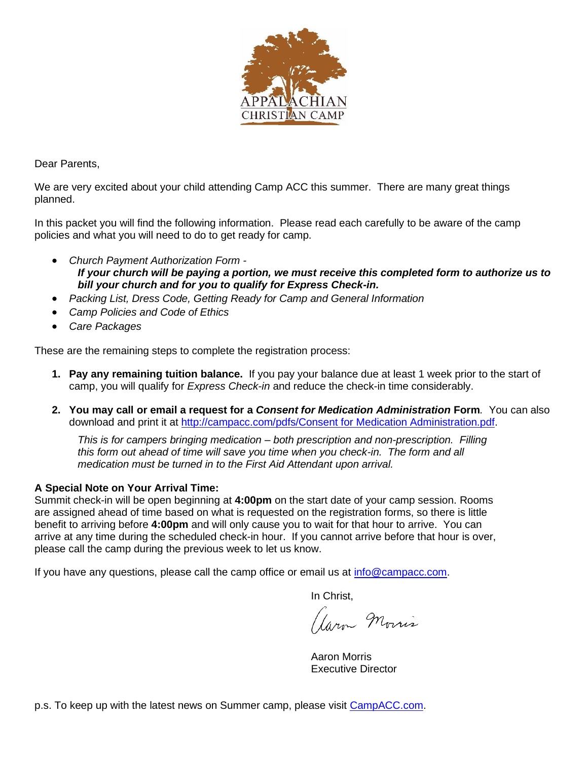

Dear Parents,

We are very excited about your child attending Camp ACC this summer. There are many great things planned.

In this packet you will find the following information. Please read each carefully to be aware of the camp policies and what you will need to do to get ready for camp.

- *Church Payment Authorization Form - If your church will be paying a portion, we must receive this completed form to authorize us to bill your church and for you to qualify for Express Check-in.*
- *Packing List, Dress Code, Getting Ready for Camp and General Information*
- *Camp Policies and Code of Ethics*
- *Care Packages*

These are the remaining steps to complete the registration process:

- **1. Pay any remaining tuition balance.** If you pay your balance due at least 1 week prior to the start of camp, you will qualify for *Express Check-in* and reduce the check-in time considerably.
- **2. You may call or email a request for a** *Consent for Medication Administration* **Form***.* You can also download and print it at [http://campacc.com/pdfs/Consent for Medication Administration.pdf.](http://campacc.com/pdfs/Consent%20for%20Medication%20Administration.pdf)

*This is for campers bringing medication – both prescription and non-prescription. Filling this form out ahead of time will save you time when you check-in. The form and all medication must be turned in to the First Aid Attendant upon arrival.*

#### **A Special Note on Your Arrival Time:**

Summit check-in will be open beginning at **4:00pm** on the start date of your camp session. Rooms are assigned ahead of time based on what is requested on the registration forms, so there is little benefit to arriving before **4:00pm** and will only cause you to wait for that hour to arrive. You can arrive at any time during the scheduled check-in hour. If you cannot arrive before that hour is over, please call the camp during the previous week to let us know.

If you have any questions, please call the camp office or email us at [info@campacc.com.](https://campacc.sharepoint.com/Shared%20Documents/Summer%20Materials/Registration%20Documents/info@campacc.com)

In Christ,

Garn Morris

Aaron Morris Executive Director

p.s. To keep up with the latest news on Summer camp, please visit [CampACC.com.](http://www.campacc.com/)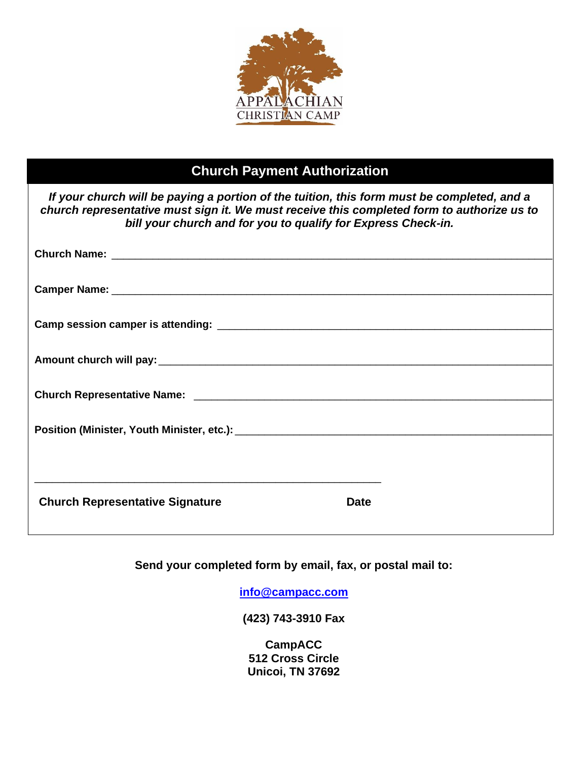

## **Church Payment Authorization**

| If your church will be paying a portion of the tuition, this form must be completed, and a<br>church representative must sign it. We must receive this completed form to authorize us to<br>bill your church and for you to qualify for Express Check-in. |  |
|-----------------------------------------------------------------------------------------------------------------------------------------------------------------------------------------------------------------------------------------------------------|--|
|                                                                                                                                                                                                                                                           |  |
| Camper Name: The Camper of the Camper Name:                                                                                                                                                                                                               |  |
| Camp session camper is attending:                                                                                                                                                                                                                         |  |

**Church Representative Signature Church Pate** 

**Send your completed form by email, fax, or postal mail to:**

**[info@campacc.com](mailto:info@campacc.com)**

**(423) 743-3910 Fax**

**CampACC 512 Cross Circle Unicoi, TN 37692**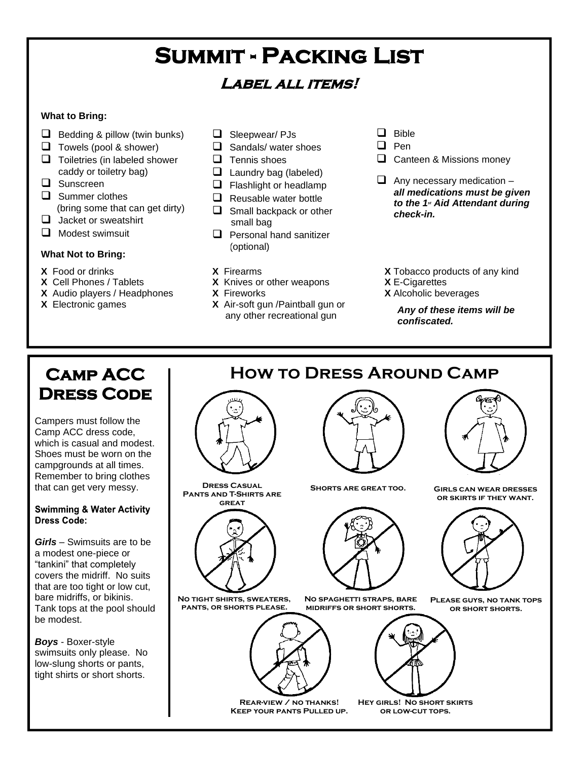## **Summit - Packing List**

## **Label all items!**

#### **What to Bring:**

- $\Box$  Bedding & pillow (twin bunks)
- ❑ Towels (pool & shower)
- ❑ Toiletries (in labeled shower caddy or toiletry bag)
- ❑ Sunscreen
- ❑ Summer clothes (bring some that can get dirty)
- □ Jacket or sweatshirt
- ❑ Modest swimsuit

#### **What Not to Bring:**

- **X** Food or drinks
- **X** Cell Phones / Tablets
- **X** Audio players / Headphones
- **X** Electronic games
- ❑ Sleepwear/ PJs
- ❑ Sandals/ water shoes
- ❑ Tennis shoes
- $\Box$  Laundry bag (labeled)
- ❑ Flashlight or headlamp
- $\Box$  Reusable water bottle
- ❑ Small backpack or other small bag
- ❑ Personal hand sanitizer (optional)
- **X** Firearms
- **X** Knives or other weapons
- **X** Fireworks
- **X** Air-soft gun /Paintball gun or any other recreational gun
- ❑ Bible
- ❑ Pen
- ❑ Canteen & Missions money
- $\Box$  Any necessary medication *all medications must be given to the 1st Aid Attendant during check-in.*
- **X** Tobacco products of any kind **X** E-Cigarettes
- **X** Alcoholic beverages

*Any of these items will be confiscated.*

## **Camp ACC Dress Code**

Campers must follow the Camp ACC dress code, which is casual and modest. Shoes must be worn on the campgrounds at all times. Remember to bring clothes that can get very messy.

#### **Swimming & Water Activity** Dress Code:

*Girls* – Swimsuits are to be a modest one-piece or "tankini" that completely covers the midriff. No suits that are too tight or low cut, bare midriffs, or bikinis. Tank tops at the pool should be modest.

*Boys* - Boxer-style swimsuits only please. No low-slung shorts or pants, tight shirts or short shorts.



**Dress Casual Shorts are great too. Pants and T-Shirts are great**



**No tight shirts, sweaters, pants, or shorts please.**



**Rear-view / no thanks! Keep your pants Pulled up.**

## **How to Dress Around Camp**



**Girls can wear dresses or skirts if they want.**



**Please guys, no tank tops or short shorts.**



**No spaghetti straps, bare** 

**Hey girls! No short skirts or low-cut tops.**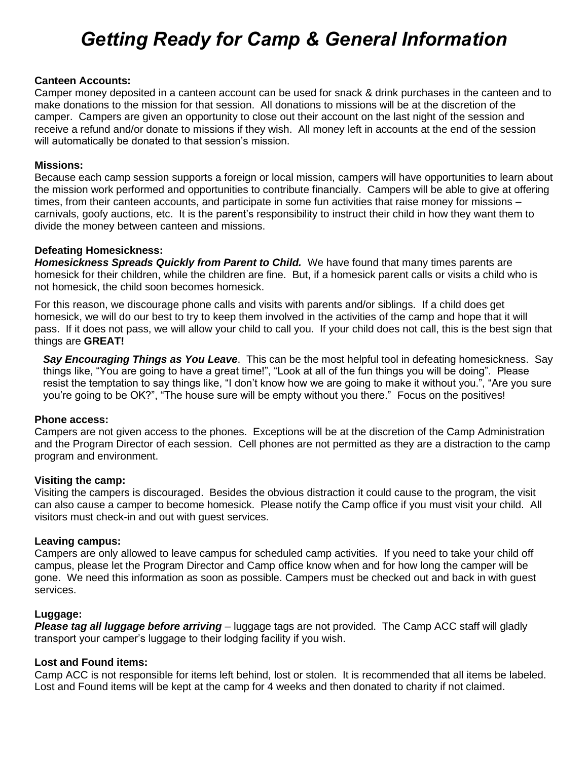## *Getting Ready for Camp & General Information*

#### **Canteen Accounts:**

Camper money deposited in a canteen account can be used for snack & drink purchases in the canteen and to make donations to the mission for that session. All donations to missions will be at the discretion of the camper. Campers are given an opportunity to close out their account on the last night of the session and receive a refund and/or donate to missions if they wish. All money left in accounts at the end of the session will automatically be donated to that session's mission.

#### **Missions:**

Because each camp session supports a foreign or local mission, campers will have opportunities to learn about the mission work performed and opportunities to contribute financially. Campers will be able to give at offering times, from their canteen accounts, and participate in some fun activities that raise money for missions – carnivals, goofy auctions, etc. It is the parent's responsibility to instruct their child in how they want them to divide the money between canteen and missions.

#### **Defeating Homesickness:**

*Homesickness Spreads Quickly from Parent to Child.* We have found that many times parents are homesick for their children, while the children are fine. But, if a homesick parent calls or visits a child who is not homesick, the child soon becomes homesick.

For this reason, we discourage phone calls and visits with parents and/or siblings. If a child does get homesick, we will do our best to try to keep them involved in the activities of the camp and hope that it will pass. If it does not pass, we will allow your child to call you. If your child does not call, this is the best sign that things are **GREAT!**

*Say Encouraging Things as You Leave*. This can be the most helpful tool in defeating homesickness. Say things like, "You are going to have a great time!", "Look at all of the fun things you will be doing". Please resist the temptation to say things like, "I don't know how we are going to make it without you.", "Are you sure you're going to be OK?", "The house sure will be empty without you there." Focus on the positives!

#### **Phone access:**

Campers are not given access to the phones. Exceptions will be at the discretion of the Camp Administration and the Program Director of each session. Cell phones are not permitted as they are a distraction to the camp program and environment.

#### **Visiting the camp:**

Visiting the campers is discouraged. Besides the obvious distraction it could cause to the program, the visit can also cause a camper to become homesick. Please notify the Camp office if you must visit your child. All visitors must check-in and out with guest services.

#### **Leaving campus:**

Campers are only allowed to leave campus for scheduled camp activities. If you need to take your child off campus, please let the Program Director and Camp office know when and for how long the camper will be gone. We need this information as soon as possible. Campers must be checked out and back in with guest services.

#### **Luggage:**

*Please tag all luggage before arriving* – luggage tags are not provided. The Camp ACC staff will gladly transport your camper's luggage to their lodging facility if you wish.

#### **Lost and Found items:**

Camp ACC is not responsible for items left behind, lost or stolen. It is recommended that all items be labeled. Lost and Found items will be kept at the camp for 4 weeks and then donated to charity if not claimed.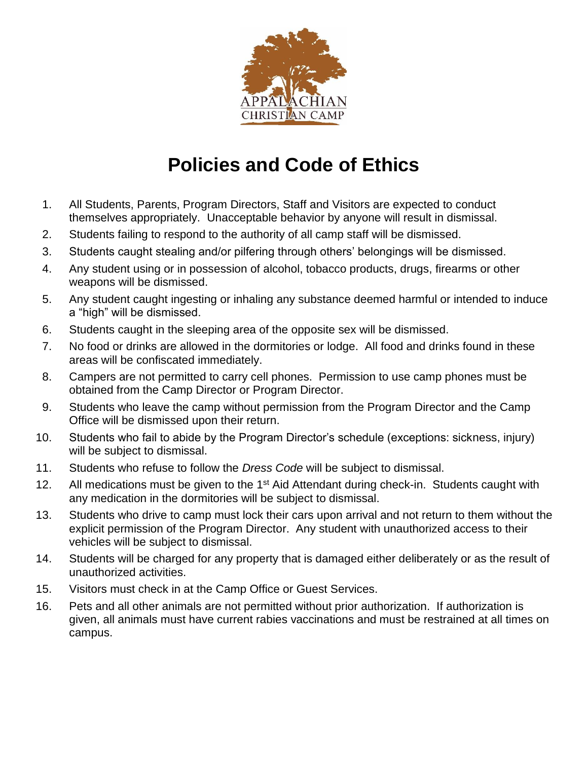

## **Policies and Code of Ethics**

- 1. All Students, Parents, Program Directors, Staff and Visitors are expected to conduct themselves appropriately. Unacceptable behavior by anyone will result in dismissal.
- 2. Students failing to respond to the authority of all camp staff will be dismissed.
- 3. Students caught stealing and/or pilfering through others' belongings will be dismissed.
- 4. Any student using or in possession of alcohol, tobacco products, drugs, firearms or other weapons will be dismissed.
- 5. Any student caught ingesting or inhaling any substance deemed harmful or intended to induce a "high" will be dismissed.
- 6. Students caught in the sleeping area of the opposite sex will be dismissed.
- 7. No food or drinks are allowed in the dormitories or lodge. All food and drinks found in these areas will be confiscated immediately.
- 8. Campers are not permitted to carry cell phones. Permission to use camp phones must be obtained from the Camp Director or Program Director.
- 9. Students who leave the camp without permission from the Program Director and the Camp Office will be dismissed upon their return.
- 10. Students who fail to abide by the Program Director's schedule (exceptions: sickness, injury) will be subject to dismissal.
- 11. Students who refuse to follow the *Dress Code* will be subject to dismissal.
- 12. All medications must be given to the 1<sup>st</sup> Aid Attendant during check-in. Students caught with any medication in the dormitories will be subject to dismissal.
- 13. Students who drive to camp must lock their cars upon arrival and not return to them without the explicit permission of the Program Director. Any student with unauthorized access to their vehicles will be subject to dismissal.
- 14. Students will be charged for any property that is damaged either deliberately or as the result of unauthorized activities.
- 15. Visitors must check in at the Camp Office or Guest Services.
- 16. Pets and all other animals are not permitted without prior authorization. If authorization is given, all animals must have current rabies vaccinations and must be restrained at all times on campus.